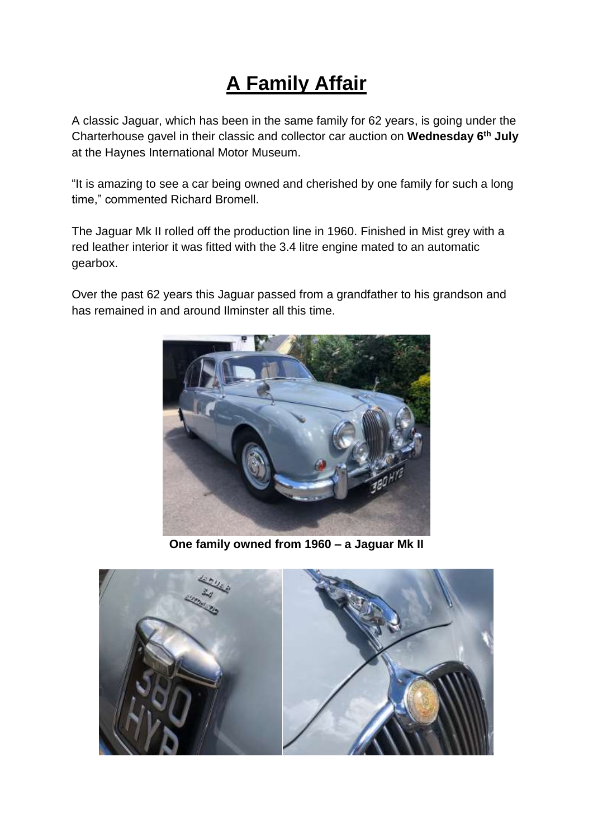## **A Family Affair**

A classic Jaguar, which has been in the same family for 62 years, is going under the Charterhouse gavel in their classic and collector car auction on **Wednesday 6 th July** at the Haynes International Motor Museum.

"It is amazing to see a car being owned and cherished by one family for such a long time," commented Richard Bromell.

The Jaguar Mk II rolled off the production line in 1960. Finished in Mist grey with a red leather interior it was fitted with the 3.4 litre engine mated to an automatic gearbox.

Over the past 62 years this Jaguar passed from a grandfather to his grandson and has remained in and around Ilminster all this time.



**One family owned from 1960 – a Jaguar Mk II**